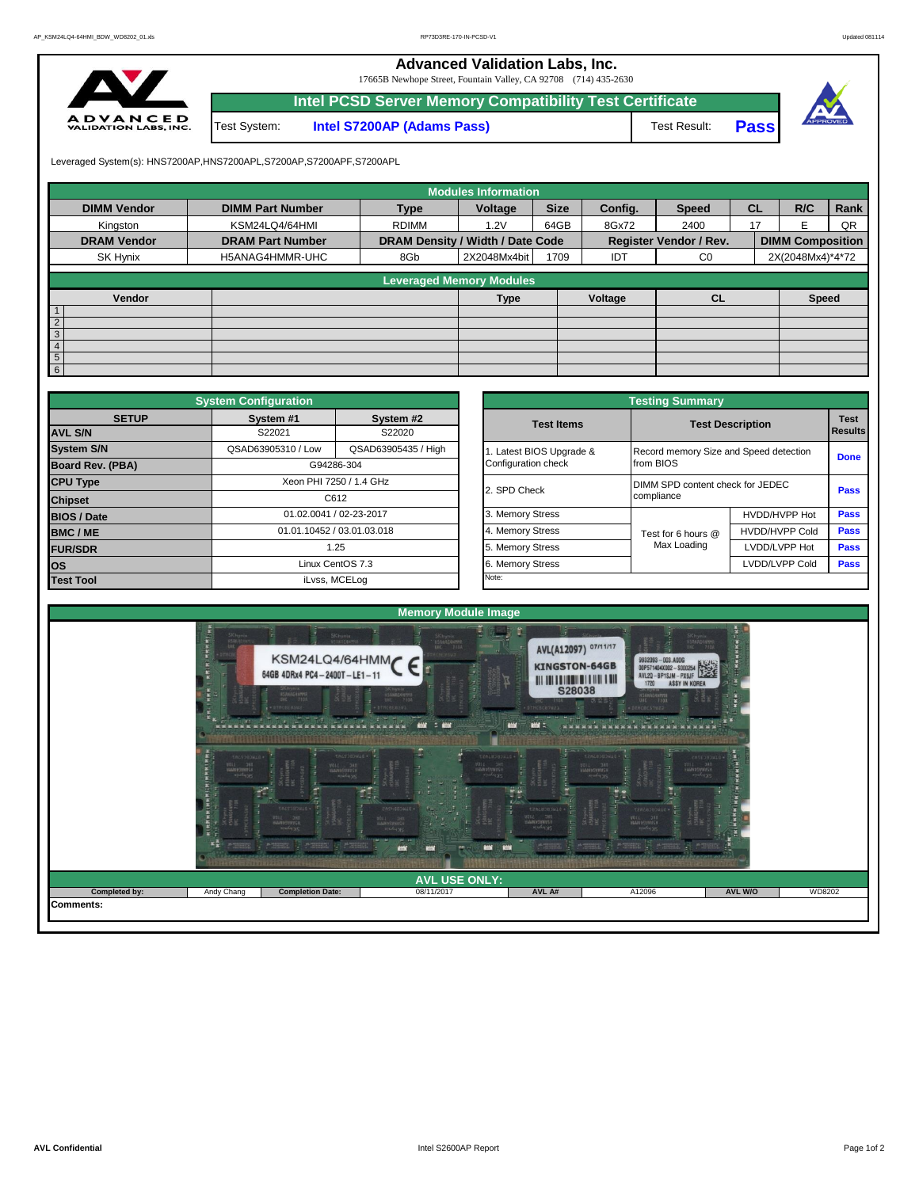**Advanced Validation Labs, Inc.** 

17665B Newhope Street, Fountain Valley, CA 92708 (714) 435-2630



|              | Intel PCSD Server Memory Compatibility Test Certificate |              |       |  |
|--------------|---------------------------------------------------------|--------------|-------|--|
| Test System: | <b>Intel S7200AP (Adams Pass)</b>                       | Test Result: | Passl |  |

Leveraged System(s): HNS7200AP,HNS7200APL,S7200AP,S7200APF,S7200APL

|                    |                         |                                  | <b>Modules Information</b>      |             |         |                        |           |                         |      |
|--------------------|-------------------------|----------------------------------|---------------------------------|-------------|---------|------------------------|-----------|-------------------------|------|
| <b>DIMM Vendor</b> | <b>DIMM Part Number</b> | <b>Type</b>                      | Voltage                         | <b>Size</b> | Config. | <b>Speed</b>           | <b>CL</b> | R/C                     | Rank |
| Kingston           | KSM24LQ4/64HMI          | <b>RDIMM</b>                     | 1.2V                            | 64GB        | 8Gx72   | 2400                   | 17        |                         | QR   |
| <b>DRAM Vendor</b> | <b>DRAM Part Number</b> | DRAM Density / Width / Date Code |                                 |             |         | Register Vendor / Rev. |           | <b>DIMM Composition</b> |      |
| SK Hynix           | H5ANAG4HMMR-UHC         | 8Gb                              | 2X2048Mx4bit                    | 1709        | IDT     | C <sub>0</sub>         |           | 2X(2048Mx4)*4*72        |      |
|                    |                         |                                  |                                 |             |         |                        |           |                         |      |
|                    |                         |                                  | <b>Leveraged Memory Modules</b> |             |         |                        |           |                         |      |
| Vendor             |                         |                                  | <b>Type</b>                     |             | Voltage | CL                     |           | <b>Speed</b>            |      |
| $\overline{1}$     |                         |                                  |                                 |             |         |                        |           |                         |      |
| $\overline{2}$     |                         |                                  |                                 |             |         |                        |           |                         |      |
| $\overline{3}$     |                         |                                  |                                 |             |         |                        |           |                         |      |
| $\overline{4}$     |                         |                                  |                                 |             |         |                        |           |                         |      |
| $5\overline{)}$    |                         |                                  |                                 |             |         |                        |           |                         |      |
| 6                  |                         |                                  |                                 |             |         |                        |           |                         |      |

|                                                                         | <b>System Configuration</b> |                            |  |                       | <b>Testing Summary</b>                 |                         |             |  |  |
|-------------------------------------------------------------------------|-----------------------------|----------------------------|--|-----------------------|----------------------------------------|-------------------------|-------------|--|--|
| <b>SETUP</b>                                                            | System #1<br>System #2      |                            |  | <b>Test Items</b>     |                                        | <b>Test Description</b> |             |  |  |
| <b>AVL S/N</b>                                                          | S22021<br>S22020            |                            |  |                       |                                        |                         | Results     |  |  |
| <b>System S/N</b>                                                       | QSAD63905310 / Low          | QSAD63905435 / High        |  | Latest BIOS Upgrade & | Record memory Size and Speed detection |                         | <b>Done</b> |  |  |
| Board Rev. (PBA)                                                        |                             | G94286-304                 |  | Configuration check   | from BIOS                              |                         |             |  |  |
| <b>CPU Type</b>                                                         |                             | Xeon PHI 7250 / 1.4 GHz    |  | 2. SPD Check          | DIMM SPD content check for JEDEC       |                         | Pass        |  |  |
|                                                                         |                             |                            |  | compliance            |                                        |                         |             |  |  |
| C612<br><b>Chipset</b><br>01.02.0041 / 02-23-2017<br><b>BIOS / Date</b> |                             |                            |  | 3. Memory Stress      |                                        | HVDD/HVPP Hot           | <b>Pass</b> |  |  |
| BMC/ME                                                                  |                             | 01.01.10452 / 03.01.03.018 |  | 4. Memory Stress      | Test for 6 hours @                     | <b>HVDD/HVPP Cold</b>   | <b>Pass</b> |  |  |
| <b>FUR/SDR</b>                                                          |                             | 1.25                       |  | 5. Memory Stress      | Max Loading                            | LVDD/LVPP Hot           | Pass        |  |  |
| <b>los</b>                                                              |                             | Linux CentOS 7.3           |  | 6. Memory Stress      |                                        | LVDD/LVPP Cold          | Pass        |  |  |
| <b>Test Tool</b>                                                        |                             | iLvss, MCELog              |  | Note:                 |                                        |                         |             |  |  |

|              | <b>System Configuration</b>                                        |                            | <b>Testing Summary</b>                 |                                  |                               |      |  |  |  |  |  |  |
|--------------|--------------------------------------------------------------------|----------------------------|----------------------------------------|----------------------------------|-------------------------------|------|--|--|--|--|--|--|
| <b>SETUP</b> | System #1                                                          | System #2                  | <b>Test Items</b>                      | <b>Test Description</b>          | <b>Test</b><br><b>Results</b> |      |  |  |  |  |  |  |
|              | S22021                                                             | S22020                     |                                        |                                  |                               |      |  |  |  |  |  |  |
|              | QSAD63905435 / High<br>QSAD63905310 / Low<br>Latest BIOS Upgrade & |                            | Record memory Size and Speed detection | <b>Done</b>                      |                               |      |  |  |  |  |  |  |
| PBA)         |                                                                    | G94286-304                 | Configuration check                    | from BIOS                        |                               |      |  |  |  |  |  |  |
|              |                                                                    | Xeon PHI 7250 / 1.4 GHz    | 2. SPD Check                           | DIMM SPD content check for JEDEC |                               | Pass |  |  |  |  |  |  |
|              |                                                                    | C612                       |                                        | compliance                       |                               |      |  |  |  |  |  |  |
|              |                                                                    | 01.02.0041 / 02-23-2017    | 3. Memory Stress                       |                                  | HVDD/HVPP Hot                 | Pass |  |  |  |  |  |  |
|              |                                                                    | 01.01.10452 / 03.01.03.018 | 4. Memory Stress                       | Test for 6 hours @               | <b>HVDD/HVPP Cold</b>         | Pass |  |  |  |  |  |  |
|              |                                                                    | 1.25                       | 5. Memory Stress                       | Max Loading                      | LVDD/LVPP Hot                 | Pass |  |  |  |  |  |  |
|              |                                                                    | Linux CentOS 7.3           | 6. Memory Stress                       |                                  | LVDD/LVPP Cold                | Pass |  |  |  |  |  |  |
|              |                                                                    | iLvss, MCELog              | Note:                                  |                                  |                               |      |  |  |  |  |  |  |